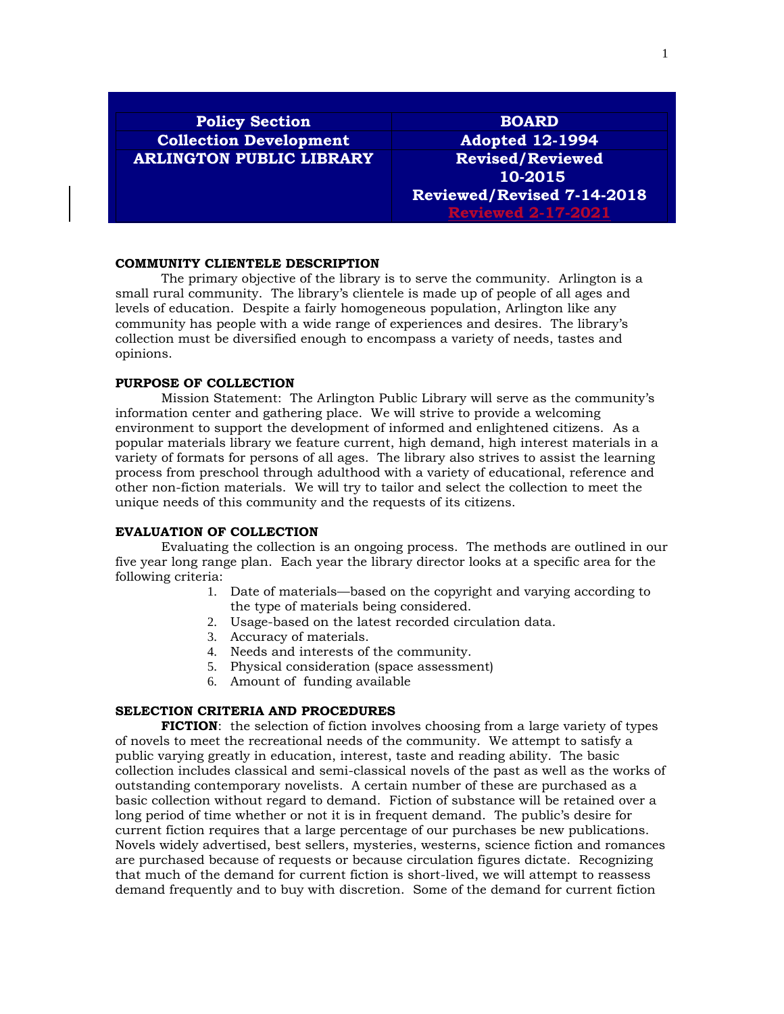| <b>Policy Section</b>           | <b>BOARD</b>                      |  |  |
|---------------------------------|-----------------------------------|--|--|
| <b>Collection Development</b>   | <b>Adopted 12-1994</b>            |  |  |
| <b>ARLINGTON PUBLIC LIBRARY</b> | <b>Revised/Reviewed</b>           |  |  |
|                                 | 10-2015                           |  |  |
|                                 | <b>Reviewed/Revised 7-14-2018</b> |  |  |
|                                 | <b>Reviewed 2-17-2021</b>         |  |  |

#### **COMMUNITY CLIENTELE DESCRIPTION**

The primary objective of the library is to serve the community. Arlington is a small rural community. The library's clientele is made up of people of all ages and levels of education. Despite a fairly homogeneous population, Arlington like any community has people with a wide range of experiences and desires. The library's collection must be diversified enough to encompass a variety of needs, tastes and opinions.

## **PURPOSE OF COLLECTION**

Mission Statement: The Arlington Public Library will serve as the community's information center and gathering place. We will strive to provide a welcoming environment to support the development of informed and enlightened citizens. As a popular materials library we feature current, high demand, high interest materials in a variety of formats for persons of all ages. The library also strives to assist the learning process from preschool through adulthood with a variety of educational, reference and other non-fiction materials. We will try to tailor and select the collection to meet the unique needs of this community and the requests of its citizens.

## **EVALUATION OF COLLECTION**

Evaluating the collection is an ongoing process. The methods are outlined in our five year long range plan. Each year the library director looks at a specific area for the following criteria:

- 1. Date of materials—based on the copyright and varying according to the type of materials being considered.
- 2. Usage-based on the latest recorded circulation data.
- 3. Accuracy of materials.
- 4. Needs and interests of the community.
- 5. Physical consideration (space assessment)
- 6. Amount of funding available

## **SELECTION CRITERIA AND PROCEDURES**

**FICTION:** the selection of fiction involves choosing from a large variety of types of novels to meet the recreational needs of the community. We attempt to satisfy a public varying greatly in education, interest, taste and reading ability. The basic collection includes classical and semi-classical novels of the past as well as the works of outstanding contemporary novelists. A certain number of these are purchased as a basic collection without regard to demand. Fiction of substance will be retained over a long period of time whether or not it is in frequent demand. The public's desire for current fiction requires that a large percentage of our purchases be new publications. Novels widely advertised, best sellers, mysteries, westerns, science fiction and romances are purchased because of requests or because circulation figures dictate. Recognizing that much of the demand for current fiction is short-lived, we will attempt to reassess demand frequently and to buy with discretion. Some of the demand for current fiction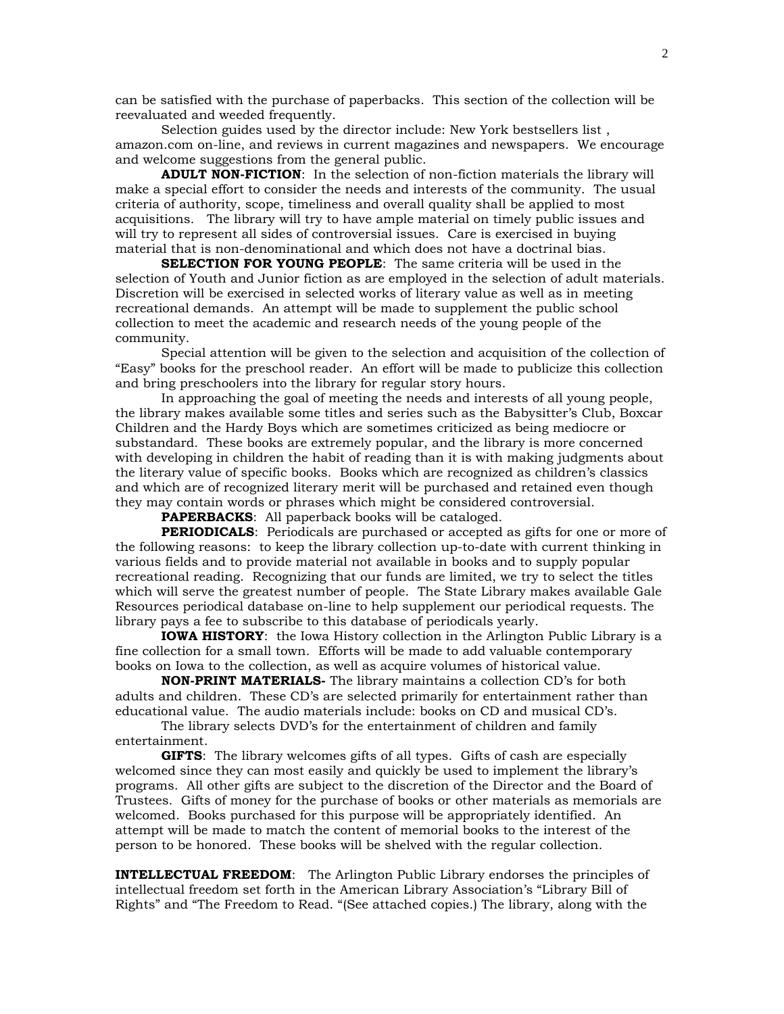can be satisfied with the purchase of paperbacks. This section of the collection will be reevaluated and weeded frequently.

Selection guides used by the director include: New York bestsellers list , amazon.com on-line, and reviews in current magazines and newspapers. We encourage and welcome suggestions from the general public.

**ADULT NON-FICTION**: In the selection of non-fiction materials the library will make a special effort to consider the needs and interests of the community. The usual criteria of authority, scope, timeliness and overall quality shall be applied to most acquisitions. The library will try to have ample material on timely public issues and will try to represent all sides of controversial issues. Care is exercised in buying material that is non-denominational and which does not have a doctrinal bias.

**SELECTION FOR YOUNG PEOPLE**: The same criteria will be used in the selection of Youth and Junior fiction as are employed in the selection of adult materials. Discretion will be exercised in selected works of literary value as well as in meeting recreational demands. An attempt will be made to supplement the public school collection to meet the academic and research needs of the young people of the community.

Special attention will be given to the selection and acquisition of the collection of "Easy" books for the preschool reader. An effort will be made to publicize this collection and bring preschoolers into the library for regular story hours.

In approaching the goal of meeting the needs and interests of all young people, the library makes available some titles and series such as the Babysitter's Club, Boxcar Children and the Hardy Boys which are sometimes criticized as being mediocre or substandard. These books are extremely popular, and the library is more concerned with developing in children the habit of reading than it is with making judgments about the literary value of specific books. Books which are recognized as children's classics and which are of recognized literary merit will be purchased and retained even though they may contain words or phrases which might be considered controversial.

**PAPERBACKS**: All paperback books will be cataloged.

**PERIODICALS**: Periodicals are purchased or accepted as gifts for one or more of the following reasons: to keep the library collection up-to-date with current thinking in various fields and to provide material not available in books and to supply popular recreational reading. Recognizing that our funds are limited, we try to select the titles which will serve the greatest number of people. The State Library makes available Gale Resources periodical database on-line to help supplement our periodical requests. The library pays a fee to subscribe to this database of periodicals yearly.

**IOWA HISTORY**: the Iowa History collection in the Arlington Public Library is a fine collection for a small town. Efforts will be made to add valuable contemporary books on Iowa to the collection, as well as acquire volumes of historical value.

**NON-PRINT MATERIALS-** The library maintains a collection CD's for both adults and children. These CD's are selected primarily for entertainment rather than educational value. The audio materials include: books on CD and musical CD's.

The library selects DVD's for the entertainment of children and family entertainment.

**GIFTS**: The library welcomes gifts of all types. Gifts of cash are especially welcomed since they can most easily and quickly be used to implement the library's programs. All other gifts are subject to the discretion of the Director and the Board of Trustees. Gifts of money for the purchase of books or other materials as memorials are welcomed. Books purchased for this purpose will be appropriately identified. An attempt will be made to match the content of memorial books to the interest of the person to be honored. These books will be shelved with the regular collection.

**INTELLECTUAL FREEDOM**: The Arlington Public Library endorses the principles of intellectual freedom set forth in the American Library Association's "Library Bill of Rights" and "The Freedom to Read. "(See attached copies.) The library, along with the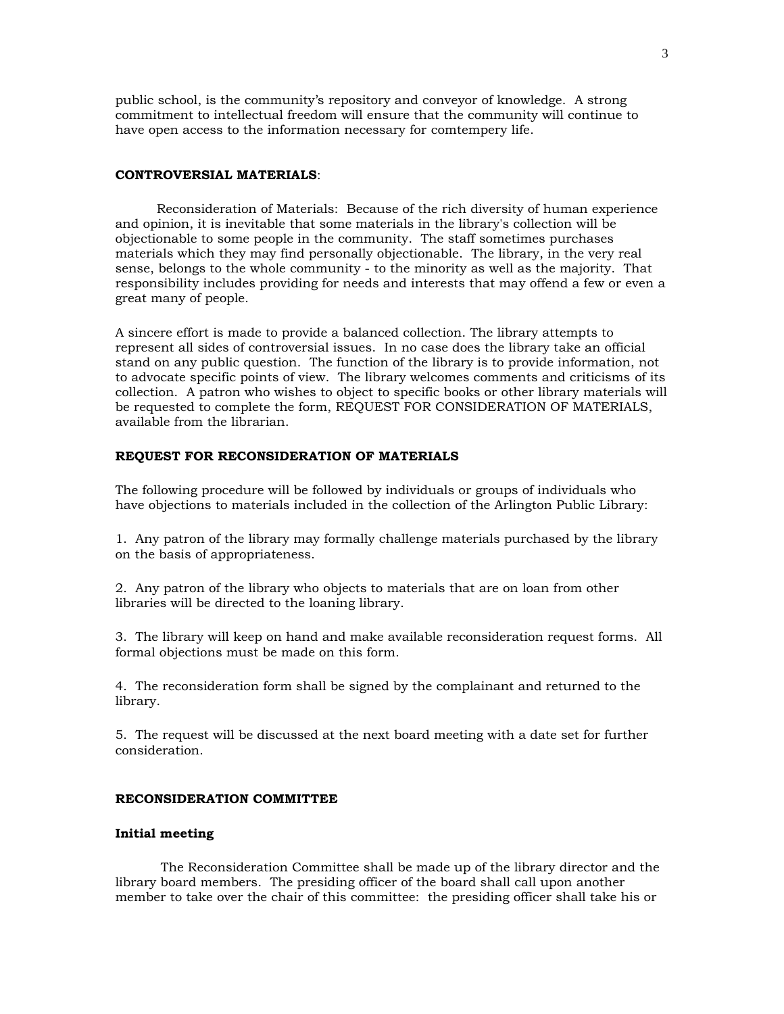public school, is the community's repository and conveyor of knowledge. A strong commitment to intellectual freedom will ensure that the community will continue to have open access to the information necessary for comtempery life.

#### **CONTROVERSIAL MATERIALS**:

 Reconsideration of Materials: Because of the rich diversity of human experience and opinion, it is inevitable that some materials in the library's collection will be objectionable to some people in the community. The staff sometimes purchases materials which they may find personally objectionable. The library, in the very real sense, belongs to the whole community - to the minority as well as the majority. That responsibility includes providing for needs and interests that may offend a few or even a great many of people.

A sincere effort is made to provide a balanced collection. The library attempts to represent all sides of controversial issues. In no case does the library take an official stand on any public question. The function of the library is to provide information, not to advocate specific points of view. The library welcomes comments and criticisms of its collection. A patron who wishes to object to specific books or other library materials will be requested to complete the form, REQUEST FOR CONSIDERATION OF MATERIALS, available from the librarian.

## **REQUEST FOR RECONSIDERATION OF MATERIALS**

The following procedure will be followed by individuals or groups of individuals who have objections to materials included in the collection of the Arlington Public Library:

1. Any patron of the library may formally challenge materials purchased by the library on the basis of appropriateness.

2. Any patron of the library who objects to materials that are on loan from other libraries will be directed to the loaning library.

3. The library will keep on hand and make available reconsideration request forms. All formal objections must be made on this form.

4. The reconsideration form shall be signed by the complainant and returned to the library.

5. The request will be discussed at the next board meeting with a date set for further consideration.

## **RECONSIDERATION COMMITTEE**

## **Initial meeting**

 The Reconsideration Committee shall be made up of the library director and the library board members. The presiding officer of the board shall call upon another member to take over the chair of this committee: the presiding officer shall take his or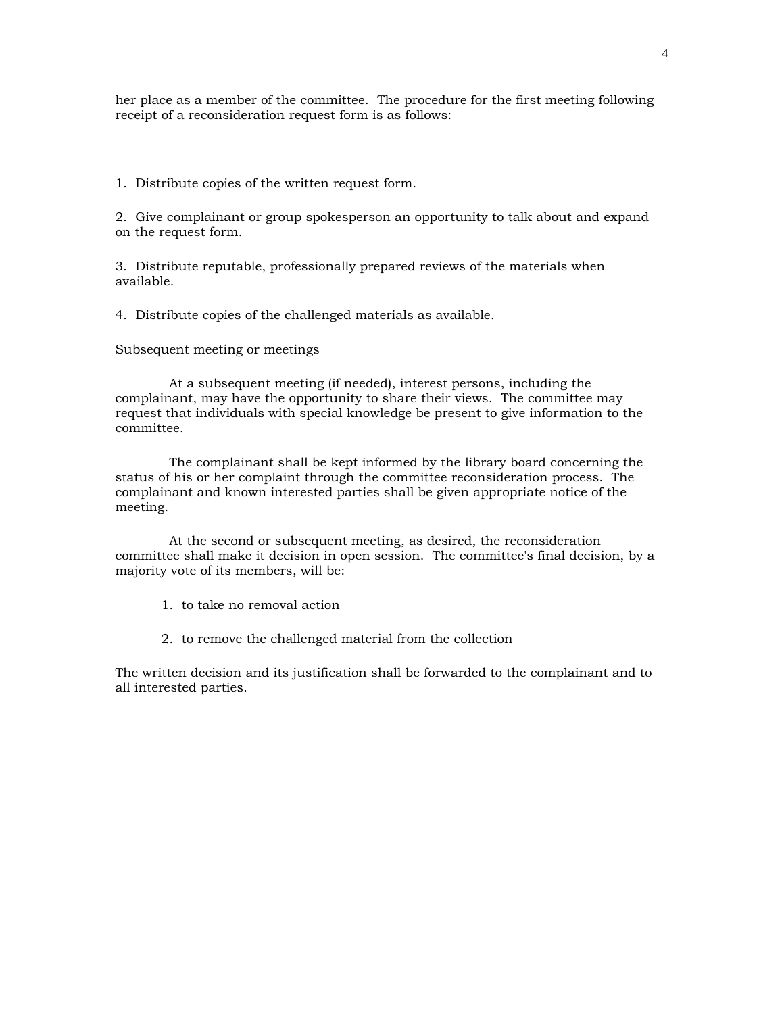her place as a member of the committee. The procedure for the first meeting following receipt of a reconsideration request form is as follows:

1. Distribute copies of the written request form.

2. Give complainant or group spokesperson an opportunity to talk about and expand on the request form.

3. Distribute reputable, professionally prepared reviews of the materials when available.

4. Distribute copies of the challenged materials as available.

Subsequent meeting or meetings

 At a subsequent meeting (if needed), interest persons, including the complainant, may have the opportunity to share their views. The committee may request that individuals with special knowledge be present to give information to the committee.

 The complainant shall be kept informed by the library board concerning the status of his or her complaint through the committee reconsideration process. The complainant and known interested parties shall be given appropriate notice of the meeting.

 At the second or subsequent meeting, as desired, the reconsideration committee shall make it decision in open session. The committee's final decision, by a majority vote of its members, will be:

1. to take no removal action

2. to remove the challenged material from the collection

The written decision and its justification shall be forwarded to the complainant and to all interested parties.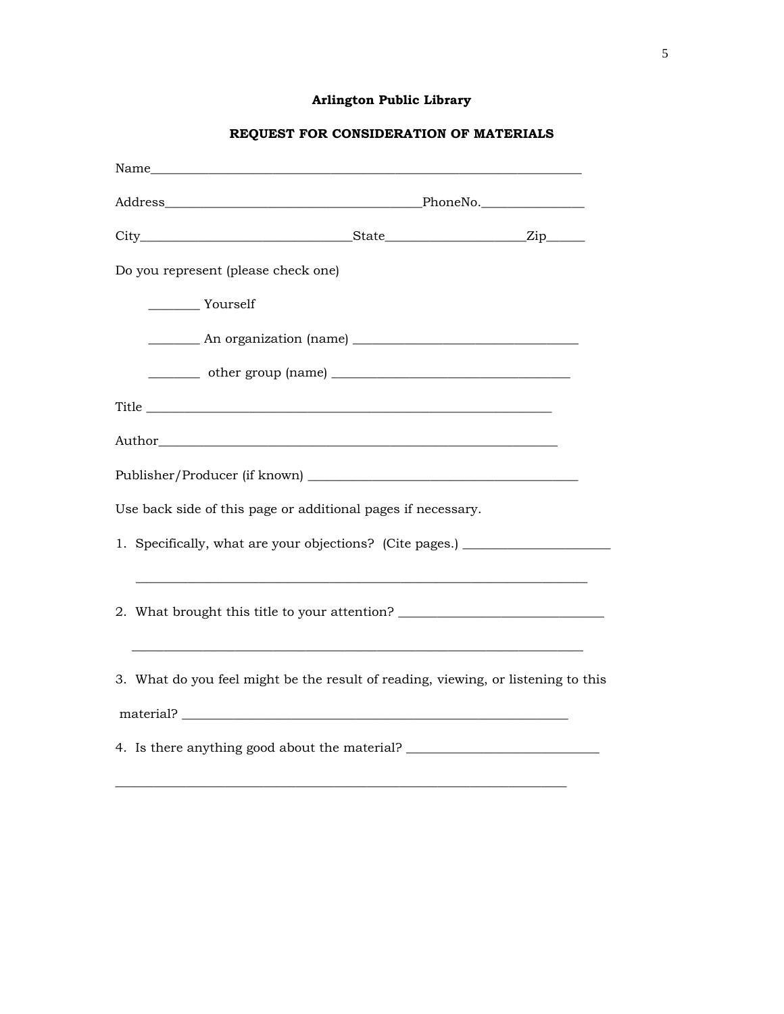# **Arlington Public Library**

| Do you represent (please check one)                                              |                                                                                                                        |  |  |  |  |  |  |  |
|----------------------------------------------------------------------------------|------------------------------------------------------------------------------------------------------------------------|--|--|--|--|--|--|--|
|                                                                                  | Vourself                                                                                                               |  |  |  |  |  |  |  |
|                                                                                  |                                                                                                                        |  |  |  |  |  |  |  |
|                                                                                  |                                                                                                                        |  |  |  |  |  |  |  |
|                                                                                  |                                                                                                                        |  |  |  |  |  |  |  |
|                                                                                  |                                                                                                                        |  |  |  |  |  |  |  |
|                                                                                  |                                                                                                                        |  |  |  |  |  |  |  |
| Use back side of this page or additional pages if necessary.                     |                                                                                                                        |  |  |  |  |  |  |  |
| 1. Specifically, what are your objections? (Cite pages.) _______________________ |                                                                                                                        |  |  |  |  |  |  |  |
|                                                                                  | <u> 1989 - Johann Barn, mars ann an t-Amhainn an t-Amhainn an t-Amhainn an t-Amhainn an t-Amhainn an t-Amhainn an </u> |  |  |  |  |  |  |  |
|                                                                                  | 2. What brought this title to your attention? __________________________________                                       |  |  |  |  |  |  |  |
|                                                                                  | <u> 1980 - Jan James James James James James James James James James James James James James James James James J</u>   |  |  |  |  |  |  |  |
|                                                                                  | 3. What do you feel might be the result of reading, viewing, or listening to this                                      |  |  |  |  |  |  |  |
|                                                                                  |                                                                                                                        |  |  |  |  |  |  |  |
|                                                                                  | 4. Is there anything good about the material? __________________________________                                       |  |  |  |  |  |  |  |

\_\_\_\_\_\_\_\_\_\_\_\_\_\_\_\_\_\_\_\_\_\_\_\_\_\_\_\_\_\_\_\_\_\_\_\_\_\_\_\_\_\_\_\_\_\_\_\_\_\_\_\_\_\_\_\_\_\_\_\_\_\_\_\_\_\_\_\_\_\_

# **REQUEST FOR CONSIDERATION OF MATERIALS**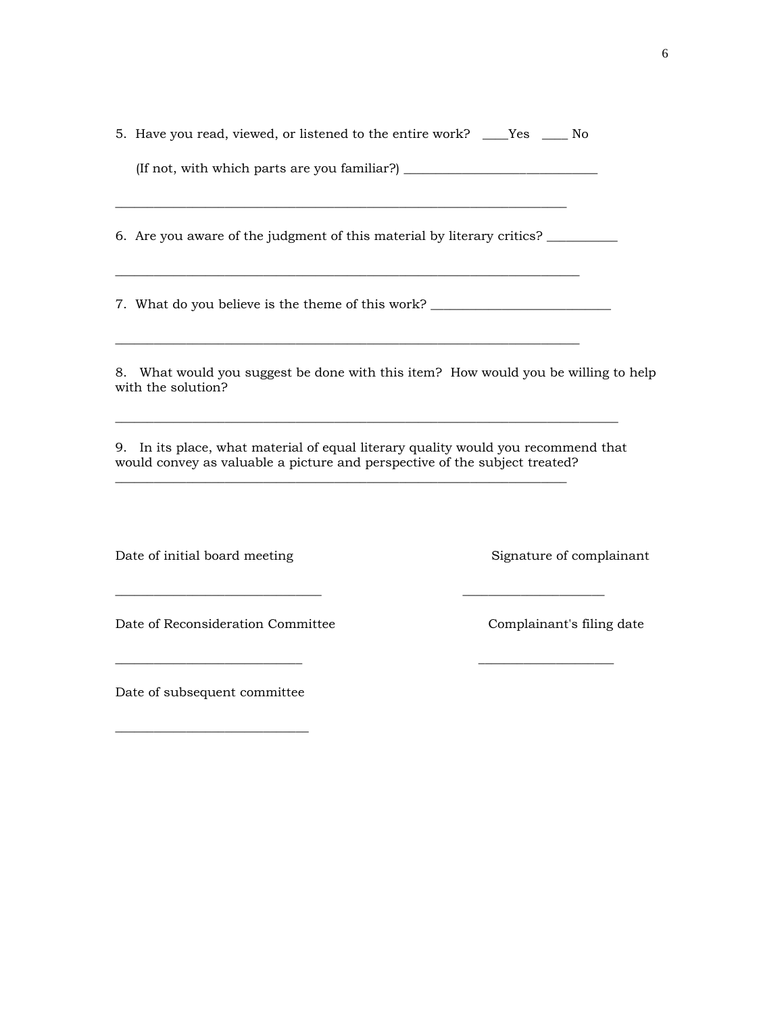|                                                                                                                                                                 | 5. Have you read, viewed, or listened to the entire work? ___Yes ___ No          |  |  |                           |                          |  |  |  |
|-----------------------------------------------------------------------------------------------------------------------------------------------------------------|----------------------------------------------------------------------------------|--|--|---------------------------|--------------------------|--|--|--|
|                                                                                                                                                                 | (If not, with which parts are you familiar?) ___________________________________ |  |  |                           |                          |  |  |  |
| 6. Are you aware of the judgment of this material by literary critics?                                                                                          |                                                                                  |  |  |                           |                          |  |  |  |
|                                                                                                                                                                 | 7. What do you believe is the theme of this work? ______________________________ |  |  |                           |                          |  |  |  |
| 8. What would you suggest be done with this item? How would you be willing to help<br>with the solution?                                                        |                                                                                  |  |  |                           |                          |  |  |  |
| 9. In its place, what material of equal literary quality would you recommend that<br>would convey as valuable a picture and perspective of the subject treated? |                                                                                  |  |  |                           |                          |  |  |  |
|                                                                                                                                                                 | Date of initial board meeting                                                    |  |  |                           | Signature of complainant |  |  |  |
| Date of Reconsideration Committee                                                                                                                               |                                                                                  |  |  | Complainant's filing date |                          |  |  |  |
|                                                                                                                                                                 | Date of subsequent committee                                                     |  |  |                           |                          |  |  |  |
|                                                                                                                                                                 |                                                                                  |  |  |                           |                          |  |  |  |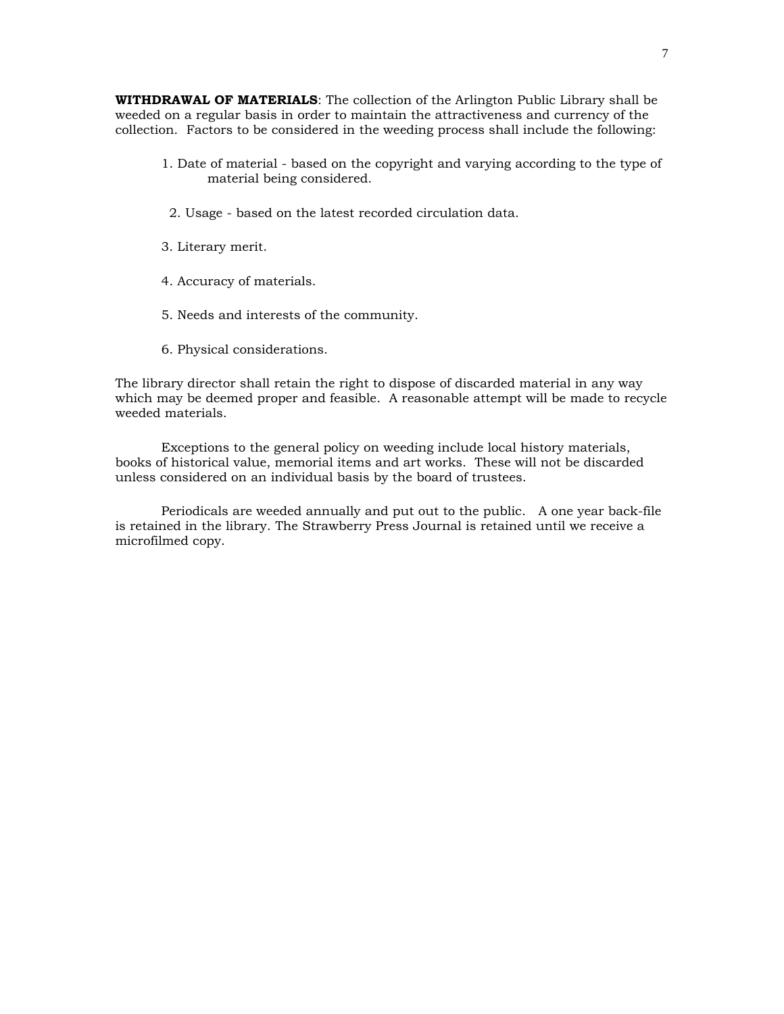**WITHDRAWAL OF MATERIALS**: The collection of the Arlington Public Library shall be weeded on a regular basis in order to maintain the attractiveness and currency of the collection. Factors to be considered in the weeding process shall include the following:

- 1. Date of material based on the copyright and varying according to the type of material being considered.
- 2. Usage based on the latest recorded circulation data.
- 3. Literary merit.
- 4. Accuracy of materials.
- 5. Needs and interests of the community.
- 6. Physical considerations.

The library director shall retain the right to dispose of discarded material in any way which may be deemed proper and feasible. A reasonable attempt will be made to recycle weeded materials.

Exceptions to the general policy on weeding include local history materials, books of historical value, memorial items and art works. These will not be discarded unless considered on an individual basis by the board of trustees.

Periodicals are weeded annually and put out to the public. A one year back-file is retained in the library. The Strawberry Press Journal is retained until we receive a microfilmed copy.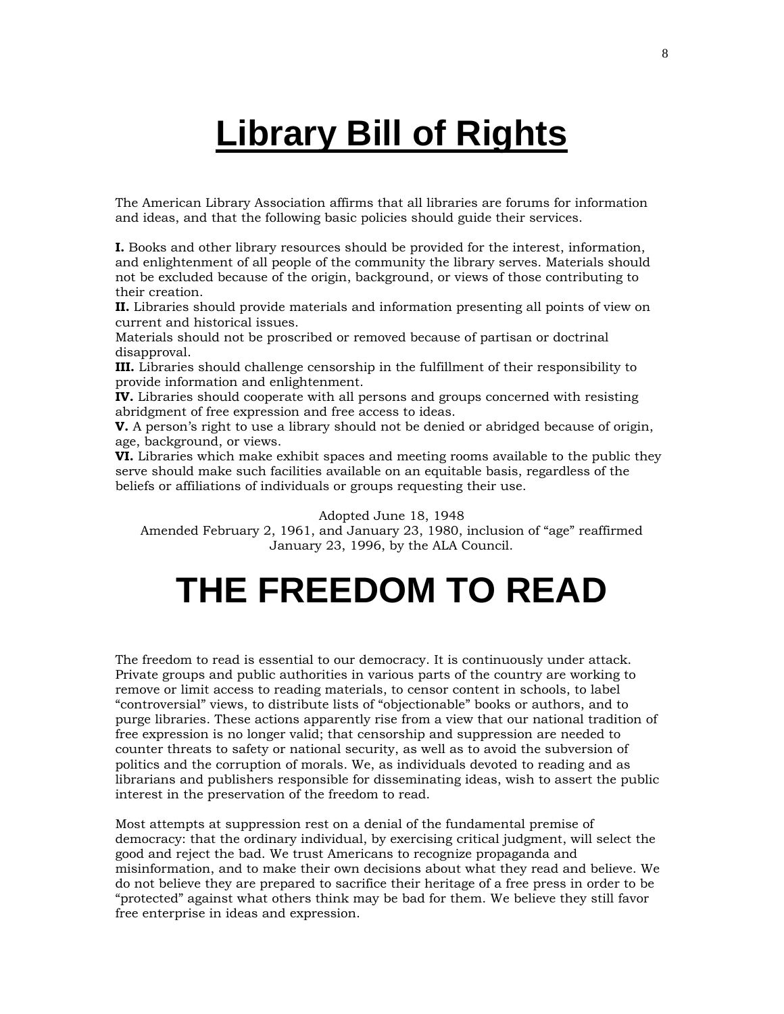# **Library Bill of Rights**

The American Library Association affirms that all libraries are forums for information and ideas, and that the following basic policies should guide their services.

**I.** Books and other library resources should be provided for the interest, information, and enlightenment of all people of the community the library serves. Materials should not be excluded because of the origin, background, or views of those contributing to their creation.

**II.** Libraries should provide materials and information presenting all points of view on current and historical issues.

Materials should not be proscribed or removed because of partisan or doctrinal disapproval.

**III.** Libraries should challenge censorship in the fulfillment of their responsibility to provide information and enlightenment.

**IV.** Libraries should cooperate with all persons and groups concerned with resisting abridgment of free expression and free access to ideas.

**V.** A person's right to use a library should not be denied or abridged because of origin, age, background, or views.

**VI.** Libraries which make exhibit spaces and meeting rooms available to the public they serve should make such facilities available on an equitable basis, regardless of the beliefs or affiliations of individuals or groups requesting their use.

Adopted June 18, 1948 Amended February 2, 1961, and January 23, 1980, inclusion of "age" reaffirmed January 23, 1996, by the ALA Council.

# **THE FREEDOM TO READ**

The freedom to read is essential to our democracy. It is continuously under attack. Private groups and public authorities in various parts of the country are working to remove or limit access to reading materials, to censor content in schools, to label "controversial" views, to distribute lists of "objectionable" books or authors, and to purge libraries. These actions apparently rise from a view that our national tradition of free expression is no longer valid; that censorship and suppression are needed to counter threats to safety or national security, as well as to avoid the subversion of politics and the corruption of morals. We, as individuals devoted to reading and as librarians and publishers responsible for disseminating ideas, wish to assert the public interest in the preservation of the freedom to read.

Most attempts at suppression rest on a denial of the fundamental premise of democracy: that the ordinary individual, by exercising critical judgment, will select the good and reject the bad. We trust Americans to recognize propaganda and misinformation, and to make their own decisions about what they read and believe. We do not believe they are prepared to sacrifice their heritage of a free press in order to be "protected" against what others think may be bad for them. We believe they still favor free enterprise in ideas and expression.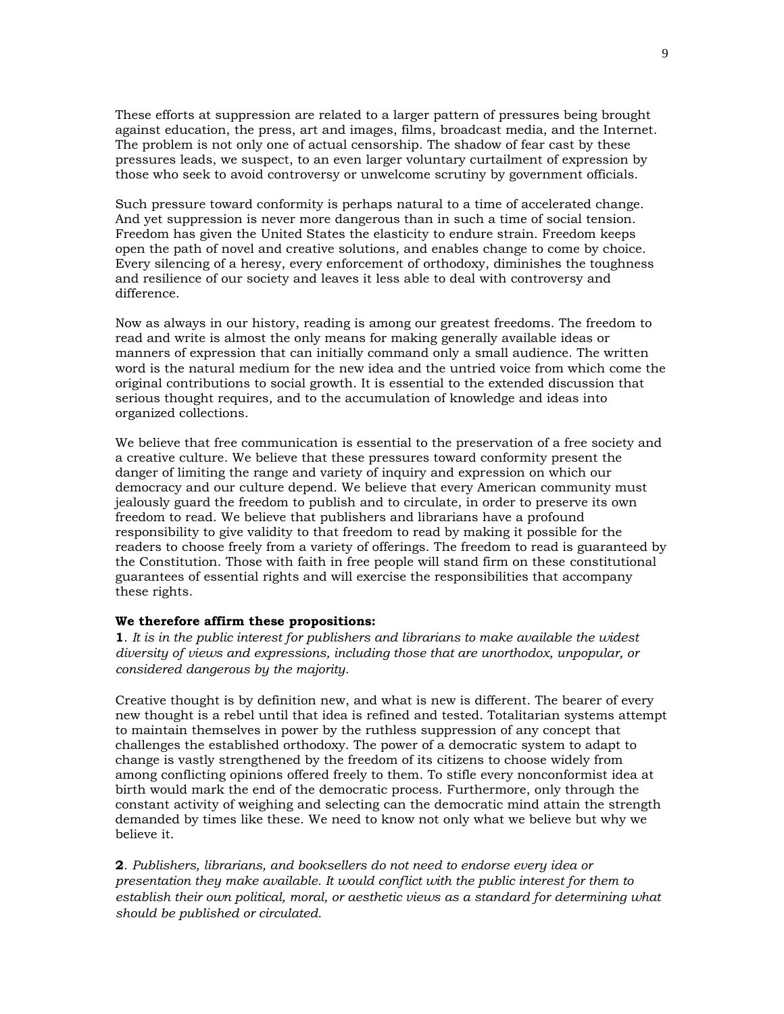These efforts at suppression are related to a larger pattern of pressures being brought against education, the press, art and images, films, broadcast media, and the Internet. The problem is not only one of actual censorship. The shadow of fear cast by these pressures leads, we suspect, to an even larger voluntary curtailment of expression by those who seek to avoid controversy or unwelcome scrutiny by government officials.

Such pressure toward conformity is perhaps natural to a time of accelerated change. And yet suppression is never more dangerous than in such a time of social tension. Freedom has given the United States the elasticity to endure strain. Freedom keeps open the path of novel and creative solutions, and enables change to come by choice. Every silencing of a heresy, every enforcement of orthodoxy, diminishes the toughness and resilience of our society and leaves it less able to deal with controversy and difference.

Now as always in our history, reading is among our greatest freedoms. The freedom to read and write is almost the only means for making generally available ideas or manners of expression that can initially command only a small audience. The written word is the natural medium for the new idea and the untried voice from which come the original contributions to social growth. It is essential to the extended discussion that serious thought requires, and to the accumulation of knowledge and ideas into organized collections.

We believe that free communication is essential to the preservation of a free society and a creative culture. We believe that these pressures toward conformity present the danger of limiting the range and variety of inquiry and expression on which our democracy and our culture depend. We believe that every American community must jealously guard the freedom to publish and to circulate, in order to preserve its own freedom to read. We believe that publishers and librarians have a profound responsibility to give validity to that freedom to read by making it possible for the readers to choose freely from a variety of offerings. The freedom to read is guaranteed by the Constitution. Those with faith in free people will stand firm on these constitutional guarantees of essential rights and will exercise the responsibilities that accompany these rights.

## **We therefore affirm these propositions:**

**1**. *It is in the public interest for publishers and librarians to make available the widest diversity of views and expressions, including those that are unorthodox, unpopular, or considered dangerous by the majority.*

Creative thought is by definition new, and what is new is different. The bearer of every new thought is a rebel until that idea is refined and tested. Totalitarian systems attempt to maintain themselves in power by the ruthless suppression of any concept that challenges the established orthodoxy. The power of a democratic system to adapt to change is vastly strengthened by the freedom of its citizens to choose widely from among conflicting opinions offered freely to them. To stifle every nonconformist idea at birth would mark the end of the democratic process. Furthermore, only through the constant activity of weighing and selecting can the democratic mind attain the strength demanded by times like these. We need to know not only what we believe but why we believe it.

**2**. *Publishers, librarians, and booksellers do not need to endorse every idea or presentation they make available. It would conflict with the public interest for them to establish their own political, moral, or aesthetic views as a standard for determining what should be published or circulated.*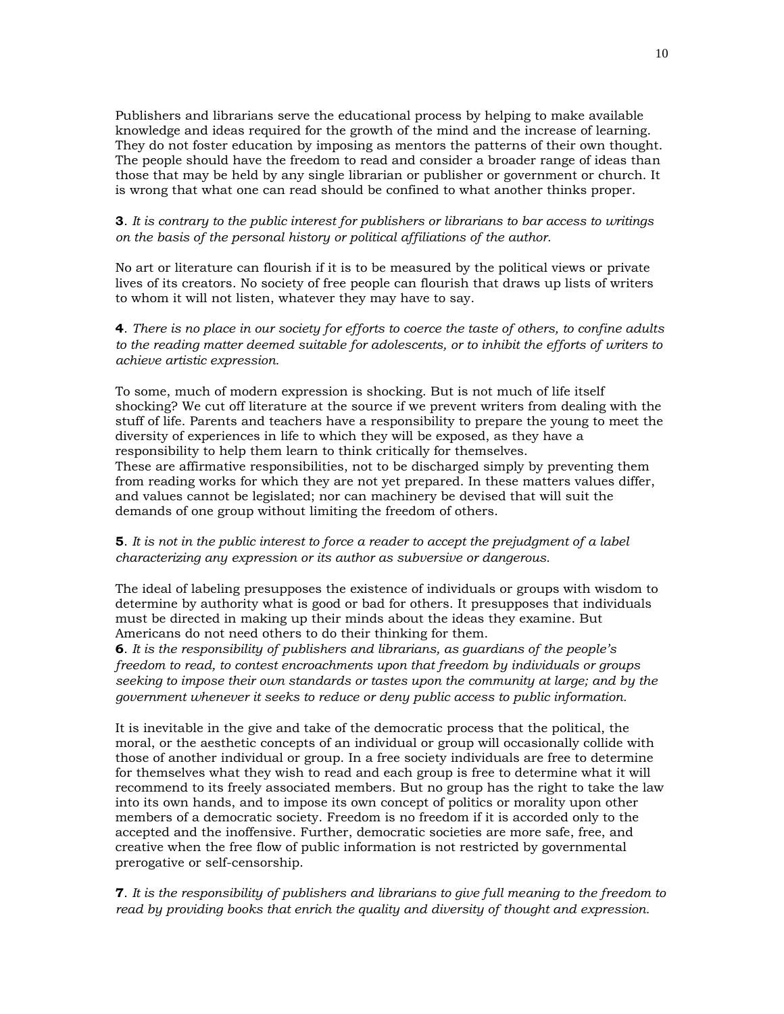Publishers and librarians serve the educational process by helping to make available knowledge and ideas required for the growth of the mind and the increase of learning. They do not foster education by imposing as mentors the patterns of their own thought. The people should have the freedom to read and consider a broader range of ideas than those that may be held by any single librarian or publisher or government or church. It is wrong that what one can read should be confined to what another thinks proper.

# **3**. *It is contrary to the public interest for publishers or librarians to bar access to writings on the basis of the personal history or political affiliations of the author.*

No art or literature can flourish if it is to be measured by the political views or private lives of its creators. No society of free people can flourish that draws up lists of writers to whom it will not listen, whatever they may have to say.

**4**. *There is no place in our society for efforts to coerce the taste of others, to confine adults to the reading matter deemed suitable for adolescents, or to inhibit the efforts of writers to achieve artistic expression.*

To some, much of modern expression is shocking. But is not much of life itself shocking? We cut off literature at the source if we prevent writers from dealing with the stuff of life. Parents and teachers have a responsibility to prepare the young to meet the diversity of experiences in life to which they will be exposed, as they have a responsibility to help them learn to think critically for themselves. These are affirmative responsibilities, not to be discharged simply by preventing them from reading works for which they are not yet prepared. In these matters values differ, and values cannot be legislated; nor can machinery be devised that will suit the demands of one group without limiting the freedom of others.

# **5**. *It is not in the public interest to force a reader to accept the prejudgment of a label characterizing any expression or its author as subversive or dangerous.*

The ideal of labeling presupposes the existence of individuals or groups with wisdom to determine by authority what is good or bad for others. It presupposes that individuals must be directed in making up their minds about the ideas they examine. But Americans do not need others to do their thinking for them.

**6**. *It is the responsibility of publishers and librarians, as guardians of the people's freedom to read, to contest encroachments upon that freedom by individuals or groups seeking to impose their own standards or tastes upon the community at large; and by the government whenever it seeks to reduce or deny public access to public information.*

It is inevitable in the give and take of the democratic process that the political, the moral, or the aesthetic concepts of an individual or group will occasionally collide with those of another individual or group. In a free society individuals are free to determine for themselves what they wish to read and each group is free to determine what it will recommend to its freely associated members. But no group has the right to take the law into its own hands, and to impose its own concept of politics or morality upon other members of a democratic society. Freedom is no freedom if it is accorded only to the accepted and the inoffensive. Further, democratic societies are more safe, free, and creative when the free flow of public information is not restricted by governmental prerogative or self-censorship.

**7**. *It is the responsibility of publishers and librarians to give full meaning to the freedom to read by providing books that enrich the quality and diversity of thought and expression.*